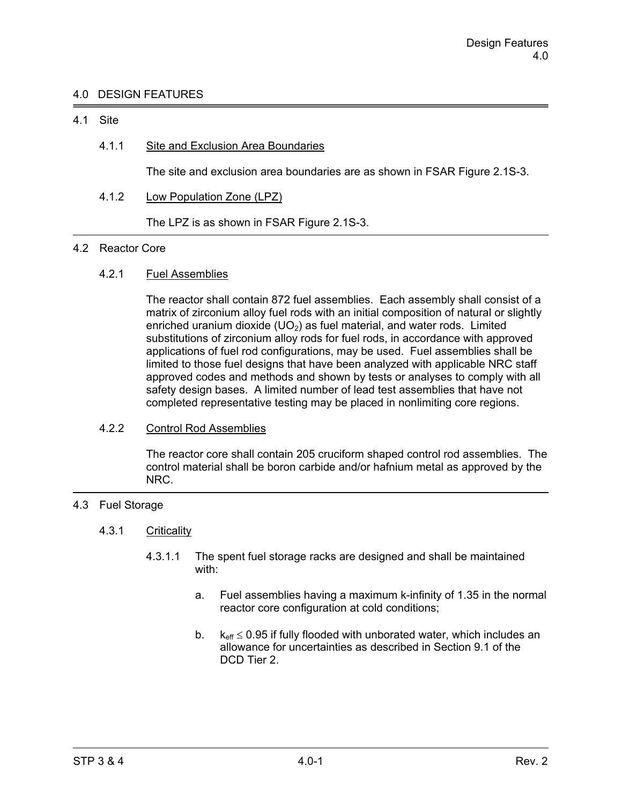# 4.0 DESIGN FEATURES

### 4.1 Site

# 4.1.1 Site and Exclusion Area Boundaries

The site and exclusion area boundaries are as shown in FSAR Figure 2.1S-3.

4.1.2 Low Population Zone (LPZ)

The LPZ is as shown in FSAR Figure 2.1S-3.

#### 4.2 Reactor Core

# 4.2.1 Fuel Assemblies

 The reactor shall contain 872 fuel assemblies. Each assembly shall consist of a matrix of zirconium alloy fuel rods with an initial composition of natural or slightly enriched uranium dioxide  $(UD<sub>2</sub>)$  as fuel material, and water rods. Limited substitutions of zirconium alloy rods for fuel rods, in accordance with approved applications of fuel rod configurations, may be used. Fuel assemblies shall be limited to those fuel designs that have been analyzed with applicable NRC staff approved codes and methods and shown by tests or analyses to comply with all safety design bases. A limited number of lead test assemblies that have not completed representative testing may be placed in nonlimiting core regions.

# 4.2.2 Control Rod Assemblies

 The reactor core shall contain 205 cruciform shaped control rod assemblies. The control material shall be boron carbide and/or hafnium metal as approved by the NRC.

# 4.3 Fuel Storage

### 4.3.1 Criticality

- 4.3.1.1 The spent fuel storage racks are designed and shall be maintained with:
	- a. Fuel assemblies having a maximum k-infinity of 1.35 in the normal reactor core configuration at cold conditions;
	- b.  $k_{\text{eff}} \leq 0.95$  if fully flooded with unborated water, which includes an allowance for uncertainties as described in Section 9.1 of the DCD Tier 2.